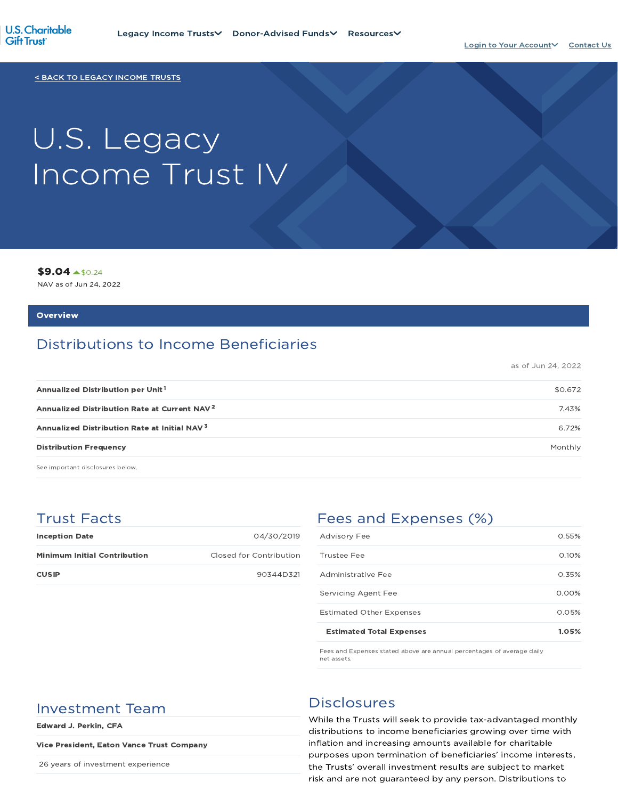

< BACK TO LEGACY INCOME TRUSTS

# U.S. Legacy Income Trust IV

\$9.04 \$0.24

NAV as of Jun 24, 2022

#### **Overview**

## Distributions to Income Beneficiaries

as of Jun 24, 2022

| Annualized Distribution per Unit <sup>1</sup>            | \$0.672 |
|----------------------------------------------------------|---------|
| Annualized Distribution Rate at Current NAV <sup>2</sup> | 7.43%   |
| Annualized Distribution Rate at Initial NAV <sup>3</sup> | 6.72%   |
| <b>Distribution Frequency</b>                            | Monthly |

See important disclosures below.

## Trust Facts

| <b>Inception Date</b>               | 04/30/2019              |
|-------------------------------------|-------------------------|
| <b>Minimum Initial Contribution</b> | Closed for Contribution |
| <b>CUSIP</b>                        | 90344D321               |

## Fees and Expenses (%)

| <b>Estimated Total Expenses</b> | 1.05%    |
|---------------------------------|----------|
| <b>Estimated Other Expenses</b> | 0.05%    |
| Servicing Agent Fee             | $0.00\%$ |
| Administrative Fee              | 0.35%    |
| Trustee Fee                     | 0.10%    |
| <b>Advisory Fee</b>             | 0.55%    |

Fees and Expenses stated above are annual percentages of average daily net assets.

## Investment Team Disclosures

Edward J. Perkin, CFA

#### Vice President, Eaton Vance Trust Company

26 years of investment experience

While the Trusts will seek to provide tax-advantaged monthly distributions to income beneficiaries growing over time with inflation and increasing amounts available for charitable purposes upon termination of beneficiaries' income interests, the Trusts' overall investment results are subject to market risk and are not guaranteed by any person. Distributions to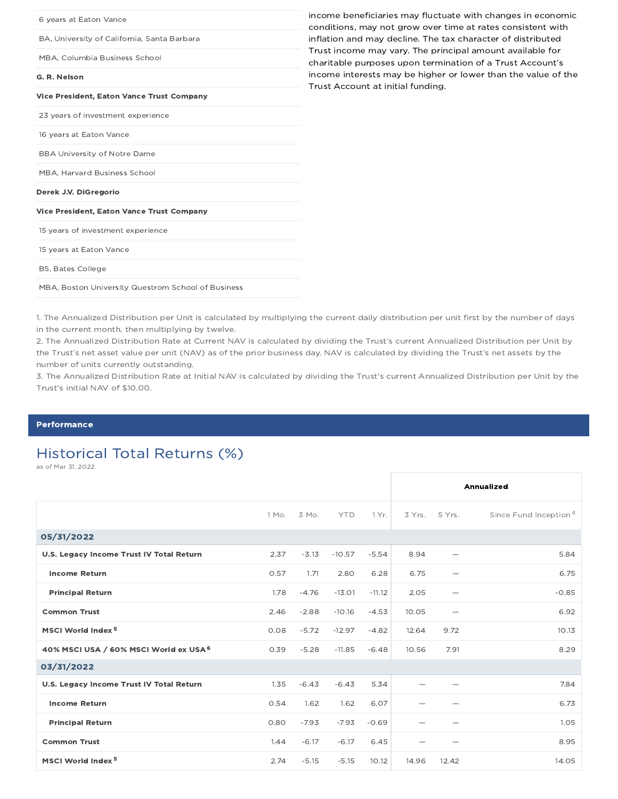| 6 years at Eaton Vance                             | income beneficiaries may fluctuate with changes in economic<br>conditions, may not grow over time at rates consistent with |
|----------------------------------------------------|----------------------------------------------------------------------------------------------------------------------------|
| BA, University of California, Santa Barbara        | inflation and may decline. The tax character of distributed                                                                |
| MBA, Columbia Business School                      | Trust income may vary. The principal amount available for<br>charitable purposes upon termination of a Trust Account's     |
| G. R. Nelson                                       | income interests may be higher or lower than the value of the<br>Trust Account at initial funding.                         |
| <b>Vice President, Eaton Vance Trust Company</b>   |                                                                                                                            |
| 23 years of investment experience                  |                                                                                                                            |
| 16 years at Eaton Vance                            |                                                                                                                            |
| <b>BBA University of Notre Dame</b>                |                                                                                                                            |
| MBA, Harvard Business School                       |                                                                                                                            |
| Derek J.V. DiGregorio                              |                                                                                                                            |
| <b>Vice President, Eaton Vance Trust Company</b>   |                                                                                                                            |
| 15 years of investment experience                  |                                                                                                                            |
| 15 years at Eaton Vance                            |                                                                                                                            |
| <b>BS, Bates College</b>                           |                                                                                                                            |
| MBA, Boston University Questrom School of Business |                                                                                                                            |
|                                                    |                                                                                                                            |

1. The Annualized Distribution per Unit is calculated by multiplying the current daily distribution per unit first by the number of days in the current month, then multiplying by twelve.

2. The Annualized Distribution Rate at Current NAV is calculated by dividing the Trust's current Annualized Distribution per Unit by the Trust's net asset value per unit (NAV) as of the prior business day. NAV is calculated by dividing the Trust's net assets by the number of units currently outstanding.

3. The Annualized Distribution Rate at Initial NAV is calculated by dividing the Trust's current Annualized Distribution per Unit by the Trust's initial NAV of \$10.00.

#### **Performance**

## Historical Total Returns (%)

as of Mar 31, 2022

|                                          |       |         |            |          |       |                          | Annualized                        |
|------------------------------------------|-------|---------|------------|----------|-------|--------------------------|-----------------------------------|
|                                          | 1 Mo. | 3 Mo.   | <b>YTD</b> | 1 Yr.    |       | 3 Yrs. 5 Yrs.            | Since Fund Inception <sup>4</sup> |
| 05/31/2022                               |       |         |            |          |       |                          |                                   |
| U.S. Legacy Income Trust IV Total Return | 2.37  | $-3.13$ | $-10.57$   | $-5.54$  | 8.94  |                          | 5.84                              |
| <b>Income Return</b>                     | 0.57  | 1.71    | 2.80       | 6.28     | 6.75  | $\overline{\phantom{0}}$ | 6.75                              |
| <b>Principal Return</b>                  | 1.78  | $-4.76$ | $-13.01$   | $-11.12$ | 2.05  |                          | $-0.85$                           |
| <b>Common Trust</b>                      | 2.46  | $-2.88$ | $-10.16$   | $-4.53$  | 10.05 | $\overline{\phantom{0}}$ | 6.92                              |
| MSCI World Index <sup>5</sup>            | 0.08  | $-5.72$ | $-12.97$   | $-4.82$  | 12.64 | 9.72                     | 10.13                             |
| 40% MSCI USA / 60% MSCI World ex USA 6   | 0.39  | $-5.28$ | $-11.85$   | $-6.48$  | 10.56 | 7.91                     | 8.29                              |
| 03/31/2022                               |       |         |            |          |       |                          |                                   |
| U.S. Legacy Income Trust IV Total Return | 1.35  | $-6.43$ | $-6.43$    | 5.34     |       |                          | 7.84                              |
| <b>Income Return</b>                     | 0.54  | 1.62    | 1.62       | 6.07     |       |                          | 6.73                              |
| <b>Principal Return</b>                  | 0.80  | $-7.93$ | $-7.93$    | $-0.69$  |       |                          | 1.05                              |
| <b>Common Trust</b>                      | 1.44  | $-6.17$ | $-6.17$    | 6.45     |       |                          | 8.95                              |
| MSCI World Index <sup>5</sup>            | 2.74  | $-5.15$ | $-5.15$    | 10.12    | 14.96 | 12.42                    | 14.05                             |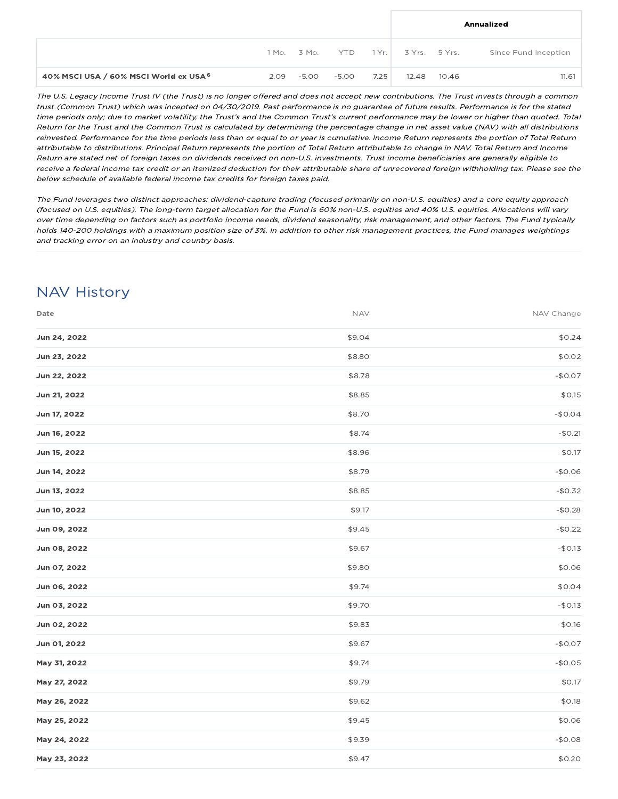|                                        |                 |       |         |               |       | Annualized           |
|----------------------------------------|-----------------|-------|---------|---------------|-------|----------------------|
|                                        | 1 Mo. 3 Mo. YTD |       | 1 Yr. L | 3 Yrs. 5 Yrs. |       | Since Fund Inception |
| 40% MSCI USA / 60% MSCI World ex USA 6 | $2.09 - 5.00$   | -5.00 | 7.25    | 12.48         | 10.46 | 11.61                |

The U.S. Legacy Income Trust IV (the Trust) is no longer offered and does not accept new contributions. The Trust invests through <sup>a</sup> common trust (Common Trust) which was incepted on 04/30/2019. Past performance is no guarantee of future results. Performance is for the stated time periods only; due to market volatility, the Trust's and the Common Trust's current performance may be lower or higher than quoted. Total Return for the Trust and the Common Trust is calculated by determining the percentage change in net asset value (NAV) with all distributions reinvested. Performance for the time periods less than or equal to or year is cumulative. Income Return represents the portion of Total Return attributable to distributions. Principal Return represents the portion of Total Return attributable to change in NAV. Total Return and Income Return are stated net of foreign taxes on dividends received on non-U.S. investments. Trust income beneficiaries are generally eligible to receive <sup>a</sup> federal income tax credit or an itemized deduction for their attributable share of unrecovered foreign withholding tax. Please see the below schedule of available federal income tax credits for foreign taxes paid.

The Fund leverages two distinct approaches: dividend-capture trading (focused primarily on non-U.S. equities) and <sup>a</sup> core equity approach (focused on U.S. equities). The long-term target allocation for the Fund is 60% non-U.S. equities and 40% U.S. equities. Allocations will vary over time depending on factors such as portfolio income needs, dividend seasonality, risk management, and other factors. The Fund typically holds 140-200 holdings with <sup>a</sup> maximum position size of 3%. In addition to other risk management practices, the Fund manages weightings and tracking error on an industry and country basis.

## NAV History

| Date         | <b>NAV</b> | NAV Change |
|--------------|------------|------------|
| Jun 24, 2022 | \$9.04     | \$0.24     |
| Jun 23, 2022 | \$8.80     | \$0.02     |
| Jun 22, 2022 | \$8.78     | $-$0.07$   |
| Jun 21, 2022 | \$8.85     | \$0.15     |
| Jun 17, 2022 | \$8.70     | $-$0.04$   |
| Jun 16, 2022 | \$8.74     | $-$0.21$   |
| Jun 15, 2022 | \$8.96     | \$0.17     |
| Jun 14, 2022 | \$8.79     | $-$0.06$   |
| Jun 13, 2022 | \$8.85     | $-$0.32$   |
| Jun 10, 2022 | \$9.17     | $-$0.28$   |
| Jun 09, 2022 | \$9.45     | $-$0.22$   |
| Jun 08, 2022 | \$9.67     | $-$0.13$   |
| Jun 07, 2022 | \$9.80     | \$0.06     |
| Jun 06, 2022 | \$9.74     | \$0.04     |
| Jun 03, 2022 | \$9.70     | $-$0.13$   |
| Jun 02, 2022 | \$9.83     | \$0.16     |
| Jun 01, 2022 | \$9.67     | $-$0.07$   |
| May 31, 2022 | \$9.74     | $-$0.05$   |
| May 27, 2022 | \$9.79     | \$0.17     |
| May 26, 2022 | \$9.62     | \$0.18     |
| May 25, 2022 | \$9.45     | \$0.06     |
| May 24, 2022 | \$9.39     | $-$0.08$   |
| May 23, 2022 | \$9.47     | \$0.20     |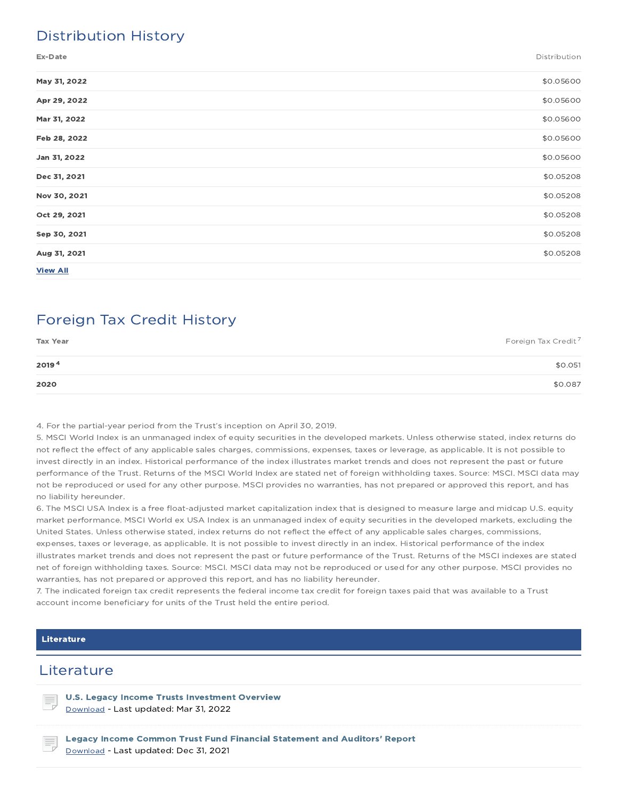## Distribution History

Ex-Date Distribution

| May 31, 2022    | \$0.05600 |
|-----------------|-----------|
| Apr 29, 2022    | \$0.05600 |
| Mar 31, 2022    | \$0.05600 |
| Feb 28, 2022    | \$0.05600 |
| Jan 31, 2022    | \$0.05600 |
| Dec 31, 2021    | \$0.05208 |
| Nov 30, 2021    | \$0.05208 |
| Oct 29, 2021    | \$0.05208 |
| Sep 30, 2021    | \$0.05208 |
| Aug 31, 2021    | \$0.05208 |
| <b>View All</b> |           |

## Foreign Tax Credit History

| <b>Tax Year</b> | Foreign Tax Credit <sup>7</sup> |
|-----------------|---------------------------------|
| 20194           | \$0.051                         |
| 2020            | \$0.087                         |

4. For the partial-year period from the Trust's inception on April 30, 2019.

5. MSCI World Index is an unmanaged index of equity securities in the developed markets. Unless otherwise stated, index returns do not reflect the effect of any applicable sales charges, commissions, expenses, taxes or leverage, as applicable. It is not possible to invest directly in an index. Historical performance of the index illustrates market trends and does not represent the past or future performance of the Trust. Returns of the MSCI World Index are stated net of foreign withholding taxes. Source: MSCI. MSCI data may not be reproduced or used for any other purpose. MSCI provides no warranties, has not prepared or approved this report, and has no liability hereunder.

6. The MSCI USA Index is a free float-adjusted market capitalization index that is designed to measure large and midcap U.S. equity market performance. MSCI World ex USA Index is an unmanaged index of equity securities in the developed markets, excluding the United States. Unless otherwise stated, index returns do not reflect the effect of any applicable sales charges, commissions, expenses, taxes or leverage, as applicable. It is not possible to invest directly in an index. Historical performance of the index illustrates market trends and does not represent the past or future performance of the Trust. Returns of the MSCI indexes are stated net of foreign withholding taxes. Source: MSCI. MSCI data may not be reproduced or used for any other purpose. MSCI provides no warranties, has not prepared or approved this report, and has no liability hereunder.

7. The indicated foreign tax credit represents the federal income tax credit for foreign taxes paid that was available to a Trust account income beneficiary for units of the Trust held the entire period.

#### Literature

### **Literature**

U.S. Legacy Income Trusts Investment Overview Download - Last updated: Mar 31, 2022

Legacy Income Common Trust Fund Financial Statement and Auditors' Report Download - Last updated: Dec 31, 2021